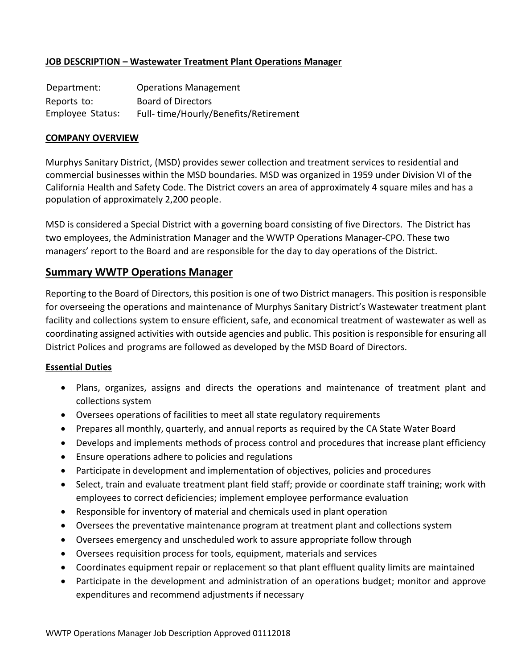## **JOB DESCRIPTION – Wastewater Treatment Plant Operations Manager**

Department: Operations Management Reports to: Board of Directors Employee Status: Full- time/Hourly/Benefits/Retirement

#### **COMPANY OVERVIEW**

Murphys Sanitary District, (MSD) provides sewer collection and treatment services to residential and commercial businesses within the MSD boundaries. MSD was organized in 1959 under Division VI of the California Health and Safety Code. The District covers an area of approximately 4 square miles and has a population of approximately 2,200 people.

MSD is considered a Special District with a governing board consisting of five Directors. The District has two employees, the Administration Manager and the WWTP Operations Manager-CPO. These two managers' report to the Board and are responsible for the day to day operations of the District.

### **Summary WWTP Operations Manager**

Reporting to the Board of Directors, this position is one of two District managers. This position is responsible for overseeing the operations and maintenance of Murphys Sanitary District's Wastewater treatment plant facility and collections system to ensure efficient, safe, and economical treatment of wastewater as well as coordinating assigned activities with outside agencies and public. This position is responsible for ensuring all District Polices and programs are followed as developed by the MSD Board of Directors.

#### **Essential Duties**

- Plans, organizes, assigns and directs the operations and maintenance of treatment plant and collections system
- Oversees operations of facilities to meet all state regulatory requirements
- Prepares all monthly, quarterly, and annual reports as required by the CA State Water Board
- Develops and implements methods of process control and procedures that increase plant efficiency
- Ensure operations adhere to policies and regulations
- Participate in development and implementation of objectives, policies and procedures
- Select, train and evaluate treatment plant field staff; provide or coordinate staff training; work with employees to correct deficiencies; implement employee performance evaluation
- Responsible for inventory of material and chemicals used in plant operation
- Oversees the preventative maintenance program at treatment plant and collections system
- Oversees emergency and unscheduled work to assure appropriate follow through
- Oversees requisition process for tools, equipment, materials and services
- Coordinates equipment repair or replacement so that plant effluent quality limits are maintained
- Participate in the development and administration of an operations budget; monitor and approve expenditures and recommend adjustments if necessary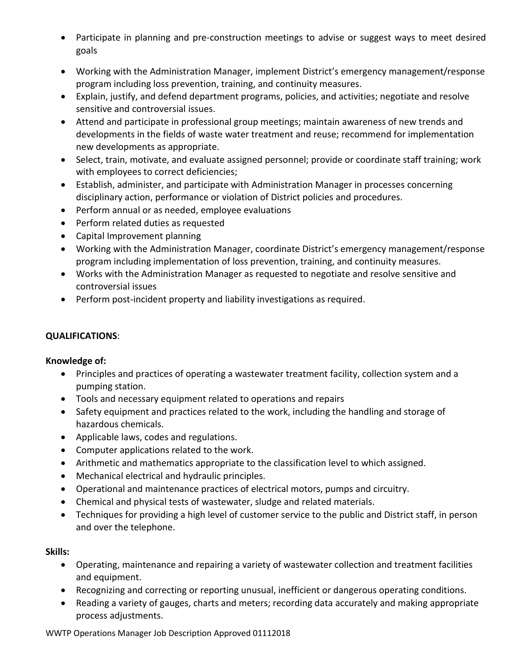- Participate in planning and pre-construction meetings to advise or suggest ways to meet desired goals
- Working with the Administration Manager, implement District's emergency management/response program including loss prevention, training, and continuity measures.
- Explain, justify, and defend department programs, policies, and activities; negotiate and resolve sensitive and controversial issues.
- Attend and participate in professional group meetings; maintain awareness of new trends and developments in the fields of waste water treatment and reuse; recommend for implementation new developments as appropriate.
- Select, train, motivate, and evaluate assigned personnel; provide or coordinate staff training; work with employees to correct deficiencies;
- Establish, administer, and participate with Administration Manager in processes concerning disciplinary action, performance or violation of District policies and procedures.
- Perform annual or as needed, employee evaluations
- Perform related duties as requested
- Capital Improvement planning
- Working with the Administration Manager, coordinate District's emergency management/response program including implementation of loss prevention, training, and continuity measures.
- Works with the Administration Manager as requested to negotiate and resolve sensitive and controversial issues
- Perform post-incident property and liability investigations as required.

# **QUALIFICATIONS**:

## **Knowledge of:**

- Principles and practices of operating a wastewater treatment facility, collection system and a pumping station.
- Tools and necessary equipment related to operations and repairs
- Safety equipment and practices related to the work, including the handling and storage of hazardous chemicals.
- Applicable laws, codes and regulations.
- Computer applications related to the work.
- Arithmetic and mathematics appropriate to the classification level to which assigned.
- Mechanical electrical and hydraulic principles.
- Operational and maintenance practices of electrical motors, pumps and circuitry.
- Chemical and physical tests of wastewater, sludge and related materials.
- Techniques for providing a high level of customer service to the public and District staff, in person and over the telephone.

# **Skills:**

- Operating, maintenance and repairing a variety of wastewater collection and treatment facilities and equipment.
- Recognizing and correcting or reporting unusual, inefficient or dangerous operating conditions.
- Reading a variety of gauges, charts and meters; recording data accurately and making appropriate process adjustments.

WWTP Operations Manager Job Description Approved 01112018